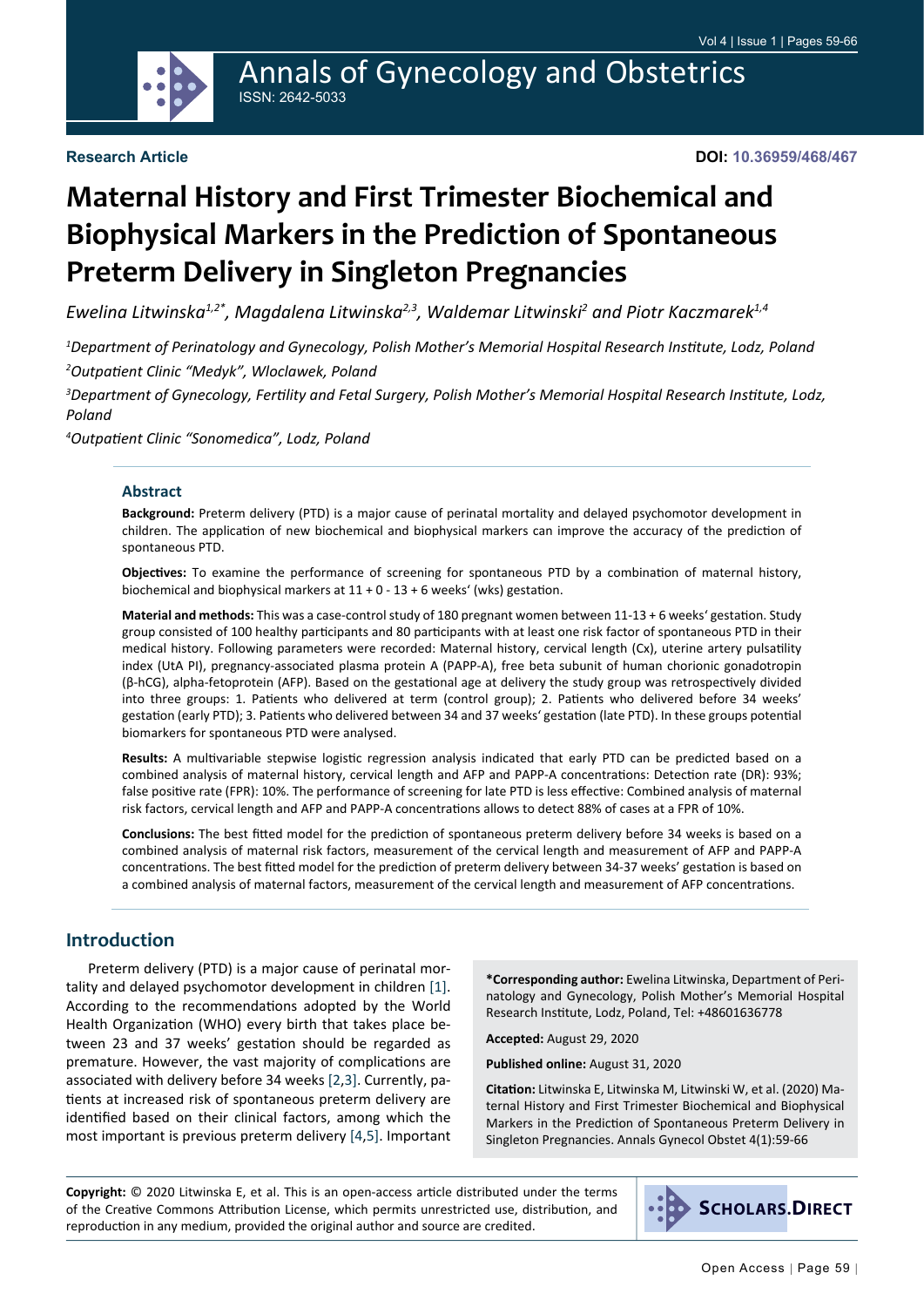

## Annals of Gynecology and Obstetrics ISSN: 2642-5033

#### **Research Article**

**DOI: 10.36959/468/467**

# **Maternal History and First Trimester Biochemical and Biophysical Markers in the Prediction of Spontaneous Preterm Delivery in Singleton Pregnancies**

*Ewelina Litwinska1,2\*, Magdalena Litwinska2,3, Waldemar Litwinski2 and Piotr Kaczmarek1,4*

*1 Department of Perinatology and Gynecology, Polish Mother's Memorial Hospital Research Institute, Lodz, Poland 2 Outpatient Clinic "Medyk", Wloclawek, Poland*

*3 Department of Gynecology, Fertility and Fetal Surgery, Polish Mother's Memorial Hospital Research Institute, Lodz, Poland*

*4 Outpatient Clinic "Sonomedica", Lodz, Poland*

#### **Abstract**

**Background:** Preterm delivery (PTD) is a major cause of perinatal mortality and delayed psychomotor development in children. The application of new biochemical and biophysical markers can improve the accuracy of the prediction of spontaneous PTD.

**Objectives:** To examine the performance of screening for spontaneous PTD by a combination of maternal history, biochemical and biophysical markers at 11 + 0 - 13 + 6 weeks' (wks) gestation.

**Material and methods:** This was a case-control study of 180 pregnant women between 11-13 + 6 weeks' gestation. Study group consisted of 100 healthy participants and 80 participants with at least one risk factor of spontaneous PTD in their medical history. Following parameters were recorded: Maternal history, cervical length (Cx), uterine artery pulsatility index (UtA PI), pregnancy-associated plasma protein A (PAPP-A), free beta subunit of human chorionic gonadotropin (β-hCG), alpha-fetoprotein (AFP). Based on the gestational age at delivery the study group was retrospectively divided into three groups: 1. Patients who delivered at term (control group); 2. Patients who delivered before 34 weeks' gestation (early PTD); 3. Patients who delivered between 34 and 37 weeks' gestation (late PTD). In these groups potential biomarkers for spontaneous PTD were analysed.

**Results:** A multivariable stepwise logistic regression analysis indicated that early PTD can be predicted based on a combined analysis of maternal history, cervical length and AFP and PAPP-A concentrations: Detection rate (DR): 93%; false positive rate (FPR): 10%. The performance of screening for late PTD is less effective: Combined analysis of maternal risk factors, cervical length and AFP and PAPP-A concentrations allows to detect 88% of cases at a FPR of 10%.

**Conclusions:** The best fitted model for the prediction of spontaneous preterm delivery before 34 weeks is based on a combined analysis of maternal risk factors, measurement of the cervical length and measurement of AFP and PAPP-A concentrations. The best fitted model for the prediction of preterm delivery between 34-37 weeks' gestation is based on a combined analysis of maternal factors, measurement of the cervical length and measurement of AFP concentrations.

#### **Introduction**

Preterm delivery (PTD) is a major cause of perinatal mortality and delayed psychomotor development in children [[1\]](#page-6-0). According to the recommendations adopted by the World Health Organization (WHO) every birth that takes place between 23 and 37 weeks' gestation should be regarded as premature. However, the vast majority of complications are associated with delivery before 34 weeks [\[2,](#page-6-1)[3](#page-6-2)]. Currently, patients at increased risk of spontaneous preterm delivery are identified based on their clinical factors, among which the most important is previous preterm delivery [[4](#page-6-3),[5](#page-6-4)]. Important

**\*Corresponding author:** Ewelina Litwinska, Department of Perinatology and Gynecology, Polish Mother's Memorial Hospital Research Institute, Lodz, Poland, Tel: +48601636778

**Accepted:** August 29, 2020

**Published online:** August 31, 2020

**Citation:** Litwinska E, Litwinska M, Litwinski W, et al. (2020) Maternal History and First Trimester Biochemical and Biophysical Markers in the Prediction of Spontaneous Preterm Delivery in Singleton Pregnancies. Annals Gynecol Obstet 4(1):59-66

**Copyright:** © 2020 Litwinska E, et al. This is an open-access article distributed under the terms of the Creative Commons Attribution License, which permits unrestricted use, distribution, and reproduction in any medium, provided the original author and source are credited.

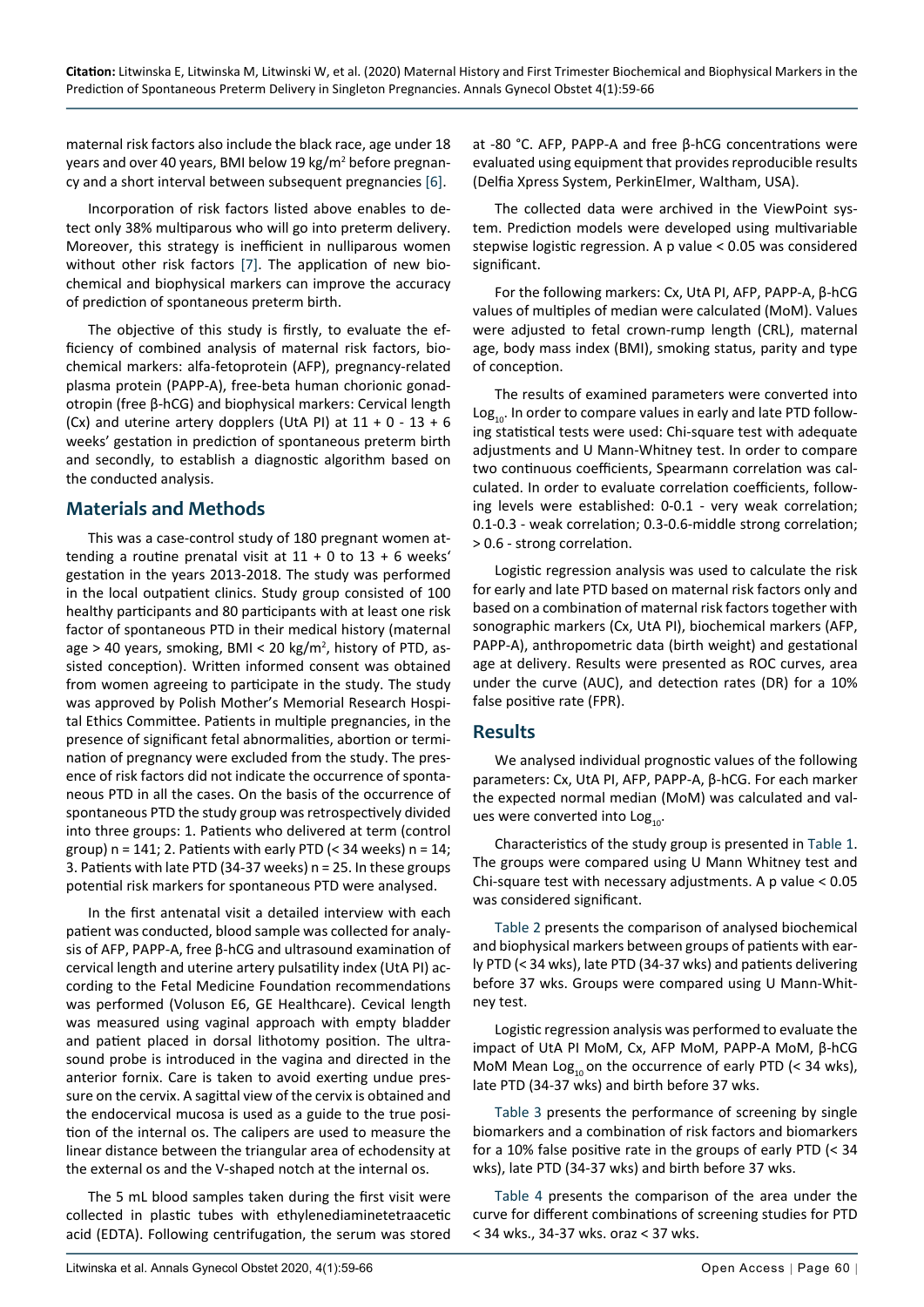maternal risk factors also include the black race, age under 18 years and over 40 years, BMI below 19 kg/m<sup>2</sup> before pregnancy and a short interval between subsequent pregnancies [\[6](#page-7-0)].

Incorporation of risk factors listed above enables to detect only 38% multiparous who will go into preterm delivery. Moreover, this strategy is inefficient in nulliparous women without other risk factors [\[7](#page-7-1)]. The application of new biochemical and biophysical markers can improve the accuracy of prediction of spontaneous preterm birth.

The objective of this study is firstly, to evaluate the efficiency of combined analysis of maternal risk factors, biochemical markers: alfa-fetoprotein (AFP), pregnancy-related plasma protein (PAPP-A), free-beta human chorionic gonadotropin (free β-hCG) and biophysical markers: Cervical length (Cx) and uterine artery dopplers (UtA PI) at  $11 + 0 - 13 + 6$ weeks' gestation in prediction of spontaneous preterm birth and secondly, to establish a diagnostic algorithm based on the conducted analysis.

### **Materials and Methods**

This was a case-control study of 180 pregnant women attending a routine prenatal visit at  $11 + 0$  to  $13 + 6$  weeks' gestation in the years 2013-2018. The study was performed in the local outpatient clinics. Study group consisted of 100 healthy participants and 80 participants with at least one risk factor of spontaneous PTD in their medical history (maternal age > 40 years, smoking, BMI < 20 kg/m<sup>2</sup> , history of PTD, assisted conception). Written informed consent was obtained from women agreeing to participate in the study. The study was approved by Polish Mother's Memorial Research Hospital Ethics Committee. Patients in multiple pregnancies, in the presence of significant fetal abnormalities, abortion or termination of pregnancy were excluded from the study. The presence of risk factors did not indicate the occurrence of spontaneous PTD in all the cases. On the basis of the occurrence of spontaneous PTD the study group was retrospectively divided into three groups: 1. Patients who delivered at term (control group)  $n = 141$ ; 2. Patients with early PTD (< 34 weeks)  $n = 14$ ; 3. Patients with late PTD (34-37 weeks) n = 25. In these groups potential risk markers for spontaneous PTD were analysed.

In the first antenatal visit a detailed interview with each patient was conducted, blood sample was collected for analysis of AFP, PAPP-A, free β-hCG and ultrasound examination of cervical length and uterine artery pulsatility index (UtA PI) according to the Fetal Medicine Foundation recommendations was performed (Voluson E6, GE Healthcare). Cevical length was measured using vaginal approach with empty bladder and patient placed in dorsal lithotomy position. The ultrasound probe is introduced in the vagina and directed in the anterior fornix. Care is taken to avoid exerting undue pressure on the cervix. A sagittal view of the cervix is obtained and the endocervical mucosa is used as a guide to the true position of the internal os. The calipers are used to measure the linear distance between the triangular area of echodensity at the external os and the V-shaped notch at the internal os.

The 5 mL blood samples taken during the first visit were collected in plastic tubes with ethylenediaminetetraacetic acid (EDTA). Following centrifugation, the serum was stored at -80 °C. AFP, PAPP-A and free β-hCG concentrations were evaluated using equipment that provides reproducible results (Delfia Xpress System, PerkinElmer, Waltham, USA).

The collected data were archived in the ViewPoint system. Prediction models were developed using multivariable stepwise logistic regression. A p value < 0.05 was considered significant.

For the following markers: Cx, UtA PI, AFP, PAPP-A, β-hCG values of multiples of median were calculated (MoM). Values were adjusted to fetal crown-rump length (CRL), maternal age, body mass index (BMI), smoking status, parity and type of conception.

The results of examined parameters were converted into  $Log<sub>10</sub>$ . In order to compare values in early and late PTD following statistical tests were used: Chi-square test with adequate adjustments and U Mann-Whitney test. In order to compare two continuous coefficients, Spearmann correlation was calculated. In order to evaluate correlation coefficients, following levels were established: 0-0.1 - very weak correlation; 0.1-0.3 - weak correlation; 0.3-0.6-middle strong correlation; > 0.6 - strong correlation.

Logistic regression analysis was used to calculate the risk for early and late PTD based on maternal risk factors only and based on a combination of maternal risk factors together with sonographic markers (Cx, UtA PI), biochemical markers (AFP, PAPP-A), anthropometric data (birth weight) and gestational age at delivery. Results were presented as ROC curves, area under the curve (AUC), and detection rates (DR) for a 10% false positive rate (FPR).

#### **Results**

We analysed individual prognostic values of the following parameters: Cx, UtA PI, AFP, PAPP-A, β-hCG. For each marker the expected normal median (MoM) was calculated and values were converted into  $Log_{10}$ .

Characteristics of the study group is presented in [Table 1](#page-2-0). The groups were compared using U Mann Whitney test and Chi-square test with necessary adjustments. A p value < 0.05 was considered significant.

[Table 2](#page-2-1) presents the comparison of analysed biochemical and biophysical markers between groups of patients with early PTD (< 34 wks), late PTD (34-37 wks) and patients delivering before 37 wks. Groups were compared using U Mann-Whitney test.

Logistic regression analysis was performed to evaluate the impact of UtA PI MoM, Cx, AFP MoM, PAPP-A MoM, β-hCG MoM Mean  $Log_{10}$  on the occurrence of early PTD (< 34 wks), late PTD (34-37 wks) and birth before 37 wks.

[Table 3](#page-3-0) presents the performance of screening by single biomarkers and a combination of risk factors and biomarkers for a 10% false positive rate in the groups of early PTD (< 34 wks), late PTD (34-37 wks) and birth before 37 wks.

[Table 4](#page-3-1) presents the comparison of the area under the curve for different combinations of screening studies for PTD < 34 wks., 34-37 wks. oraz < 37 wks.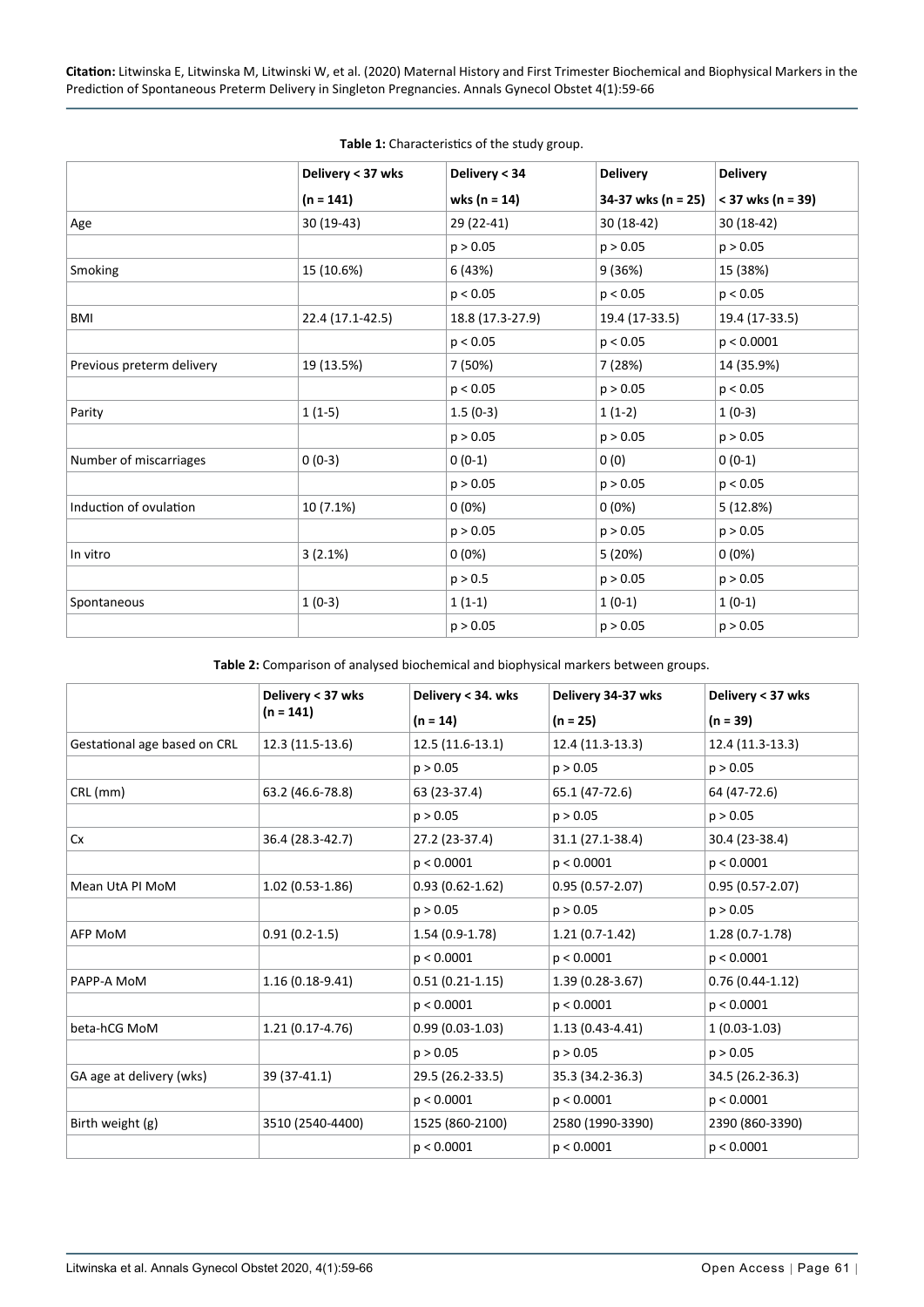|                           | Delivery < 37 wks | Delivery < 34    | <b>Delivery</b>    | <b>Delivery</b>     |
|---------------------------|-------------------|------------------|--------------------|---------------------|
|                           | $(n = 141)$       | wks ( $n = 14$ ) | 34-37 wks (n = 25) | $<$ 37 wks (n = 39) |
| Age                       | $30(19-43)$       | 29 (22-41)       | 30 (18-42)         | 30 (18-42)          |
|                           |                   | p > 0.05         | p > 0.05           | p > 0.05            |
| Smoking                   | 15 (10.6%)        | 6 (43%)          | 9 (36%)            | 15 (38%)            |
|                           |                   | p < 0.05         | p < 0.05           | p < 0.05            |
| BMI                       | 22.4 (17.1-42.5)  | 18.8 (17.3-27.9) | 19.4 (17-33.5)     | 19.4 (17-33.5)      |
|                           |                   | p < 0.05         | p < 0.05           | p < 0.0001          |
| Previous preterm delivery | 19 (13.5%)        | 7 (50%)          | 7 (28%)            | 14 (35.9%)          |
|                           |                   | p < 0.05         | p > 0.05           | p < 0.05            |
| Parity                    | $1(1-5)$          | $1.5(0-3)$       | $1(1-2)$           | $1(0-3)$            |
|                           |                   | p > 0.05         | p > 0.05           | p > 0.05            |
| Number of miscarriages    | $0(0-3)$          | $0(0-1)$         | 0(0)               | $0(0-1)$            |
|                           |                   | p > 0.05         | p > 0.05           | p < 0.05            |
| Induction of ovulation    | 10 (7.1%)         | $0(0\%)$         | 0(0%)              | 5 (12.8%)           |
|                           |                   | p > 0.05         | p > 0.05           | p > 0.05            |
| In vitro                  | 3(2.1%)           | 0(0%)            | 5 (20%)            | 0(0%)               |
|                           |                   | p > 0.5          | p > 0.05           | p > 0.05            |
| Spontaneous               | $1(0-3)$          | $1(1-1)$         | $1(0-1)$           | $1(0-1)$            |
|                           |                   | p > 0.05         | p > 0.05           | p > 0.05            |

<span id="page-2-0"></span>**Table 1:** Characteristics of the study group.

<span id="page-2-1"></span>**Table 2:** Comparison of analysed biochemical and biophysical markers between groups.

|                              | Delivery < 37 wks | Delivery < 34. wks  | Delivery 34-37 wks  | Delivery < 37 wks   |
|------------------------------|-------------------|---------------------|---------------------|---------------------|
|                              | $(n = 141)$       | $(n = 14)$          | $(n = 25)$          | $(n = 39)$          |
| Gestational age based on CRL | 12.3 (11.5-13.6)  | $12.5(11.6-13.1)$   | 12.4 (11.3-13.3)    | 12.4 (11.3-13.3)    |
|                              |                   | p > 0.05            | p > 0.05            | p > 0.05            |
| CRL (mm)                     | 63.2 (46.6-78.8)  | 63 (23-37.4)        | 65.1 (47-72.6)      | 64 (47-72.6)        |
|                              |                   | p > 0.05            | p > 0.05            | p > 0.05            |
| Cx                           | 36.4 (28.3-42.7)  | 27.2 (23-37.4)      | 31.1 (27.1-38.4)    | 30.4 (23-38.4)      |
|                              |                   | p < 0.0001          | p < 0.0001          | p < 0.0001          |
| Mean UtA PI MoM              | $1.02(0.53-1.86)$ | $0.93(0.62 - 1.62)$ | $0.95(0.57 - 2.07)$ | $0.95(0.57 - 2.07)$ |
|                              |                   | p > 0.05            | p > 0.05            | p > 0.05            |
| AFP MoM                      | $0.91(0.2-1.5)$   | $1.54(0.9-1.78)$    | $1.21(0.7-1.42)$    | $1.28(0.7-1.78)$    |
|                              |                   | p < 0.0001          | p < 0.0001          | p < 0.0001          |
| PAPP-A MoM                   | $1.16(0.18-9.41)$ | $0.51(0.21-1.15)$   | $1.39(0.28-3.67)$   | $0.76(0.44-1.12)$   |
|                              |                   | p < 0.0001          | p < 0.0001          | p < 0.0001          |
| beta-hCG MoM                 | $1.21(0.17-4.76)$ | $0.99(0.03-1.03)$   | $1.13(0.43 - 4.41)$ | $1(0.03-1.03)$      |
|                              |                   | p > 0.05            | p > 0.05            | p > 0.05            |
| GA age at delivery (wks)     | 39 (37-41.1)      | 29.5 (26.2-33.5)    | 35.3 (34.2-36.3)    | 34.5 (26.2-36.3)    |
|                              |                   | p < 0.0001          | p < 0.0001          | p < 0.0001          |
| Birth weight (g)             | 3510 (2540-4400)  | 1525 (860-2100)     | 2580 (1990-3390)    | 2390 (860-3390)     |
|                              |                   | p < 0.0001          | p < 0.0001          | p < 0.0001          |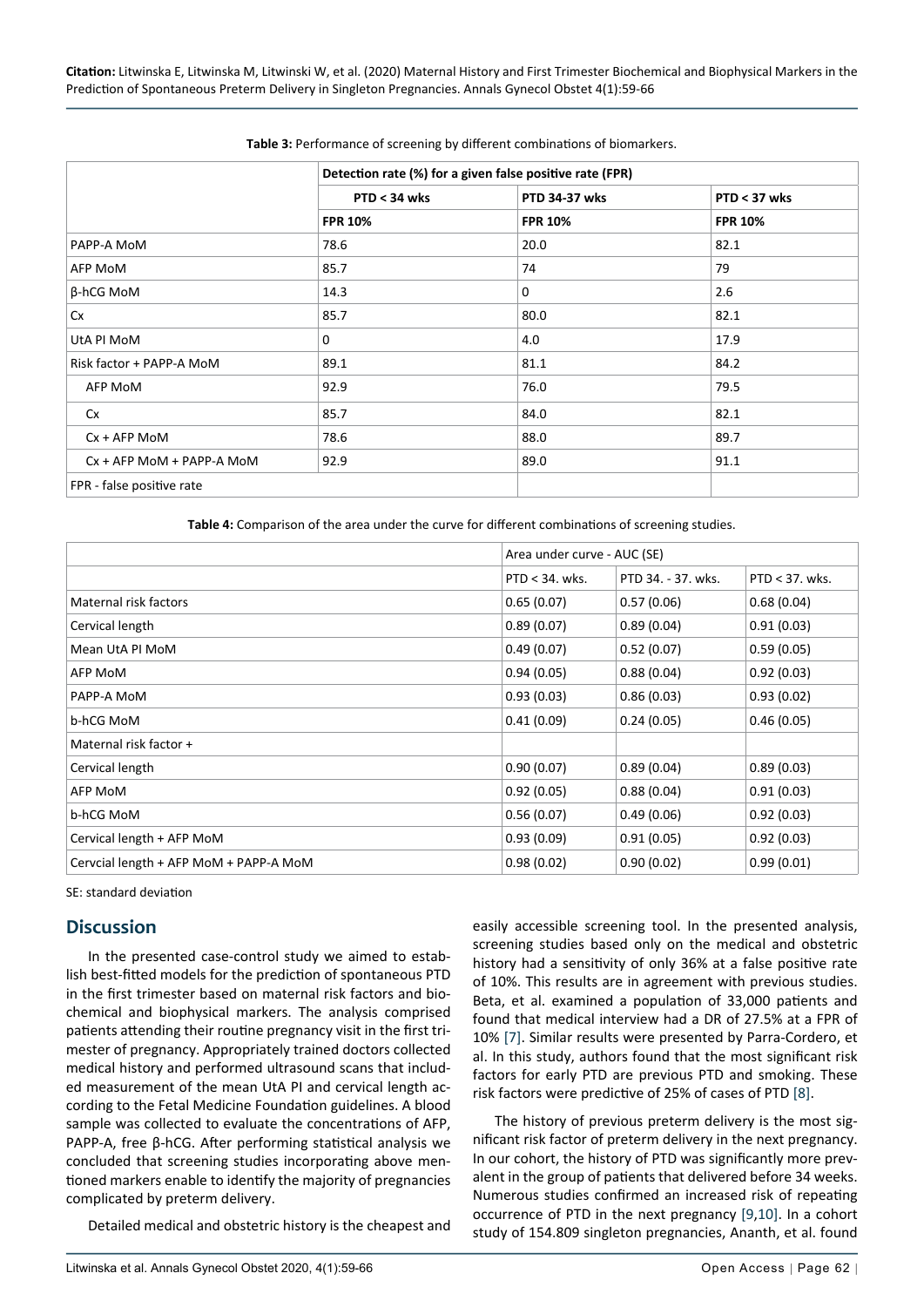|                                 | Detection rate (%) for a given false positive rate (FPR) |                      |                |  |
|---------------------------------|----------------------------------------------------------|----------------------|----------------|--|
|                                 | $PTD < 34$ wks                                           | <b>PTD 34-37 wks</b> | $PTD < 37$ wks |  |
|                                 | <b>FPR 10%</b>                                           | <b>FPR 10%</b>       | <b>FPR 10%</b> |  |
| PAPP-A MoM                      | 78.6                                                     | 20.0                 | 82.1           |  |
| AFP MoM                         | 85.7                                                     | 74                   | 79             |  |
| β-hCG MoM                       | 14.3                                                     | 0                    | 2.6            |  |
| Cx                              | 85.7                                                     | 80.0                 | 82.1           |  |
| UtA PI MoM                      | $\mathbf{0}$                                             | 4.0                  | 17.9           |  |
| Risk factor + PAPP-A MoM        | 89.1                                                     | 81.1                 | 84.2           |  |
| AFP MoM                         | 92.9                                                     | 76.0                 | 79.5           |  |
| Cx                              | 85.7                                                     | 84.0                 | 82.1           |  |
| $Cx + AFP M oM$                 | 78.6                                                     | 88.0                 | 89.7           |  |
| $Cx + AFP M oM + PAPP - A M oM$ | 92.9                                                     | 89.0                 | 91.1           |  |

<span id="page-3-0"></span>**Table 3:** Performance of screening by different combinations of biomarkers.

<span id="page-3-1"></span>**Table 4:** Comparison of the area under the curve for different combinations of screening studies.

|                                        | Area under curve - AUC (SE) |                    |                   |
|----------------------------------------|-----------------------------|--------------------|-------------------|
|                                        | $PTD < 34$ . wks.           | PTD 34. - 37. wks. | $PTD < 37$ . wks. |
| Maternal risk factors                  | 0.65(0.07)                  | 0.57(0.06)         | 0.68(0.04)        |
| Cervical length                        | 0.89(0.07)                  | 0.89(0.04)         | 0.91(0.03)        |
| Mean UtA PI MoM                        | 0.49(0.07)                  | 0.52(0.07)         | 0.59(0.05)        |
| AFP MoM                                | 0.94(0.05)                  | 0.88(0.04)         | 0.92(0.03)        |
| PAPP-A MoM                             | 0.93(0.03)                  | 0.86(0.03)         | 0.93(0.02)        |
| b-hCG MoM                              | 0.41(0.09)                  | 0.24(0.05)         | 0.46(0.05)        |
| Maternal risk factor +                 |                             |                    |                   |
| Cervical length                        | 0.90(0.07)                  | 0.89(0.04)         | 0.89(0.03)        |
| AFP MoM                                | 0.92(0.05)                  | 0.88(0.04)         | 0.91(0.03)        |
| b-hCG MoM                              | 0.56(0.07)                  | 0.49(0.06)         | 0.92(0.03)        |
| Cervical length + AFP MoM              | 0.93(0.09)                  | 0.91(0.05)         | 0.92(0.03)        |
| Cervcial length + AFP MoM + PAPP-A MoM | 0.98(0.02)                  | 0.90(0.02)         | 0.99(0.01)        |

SE: standard deviation

#### **Discussion**

In the presented case-control study we aimed to establish best-fitted models for the prediction of spontaneous PTD in the first trimester based on maternal risk factors and biochemical and biophysical markers. The analysis comprised patients attending their routine pregnancy visit in the first trimester of pregnancy. Appropriately trained doctors collected medical history and performed ultrasound scans that included measurement of the mean UtA PI and cervical length according to the Fetal Medicine Foundation guidelines. A blood sample was collected to evaluate the concentrations of AFP, PAPP-A, free β-hCG. After performing statistical analysis we concluded that screening studies incorporating above mentioned markers enable to identify the majority of pregnancies complicated by preterm delivery.

Detailed medical and obstetric history is the cheapest and

easily accessible screening tool. In the presented analysis, screening studies based only on the medical and obstetric history had a sensitivity of only 36% at a false positive rate of 10%. This results are in agreement with previous studies. Beta, et al. examined a population of 33,000 patients and found that medical interview had a DR of 27.5% at a FPR of 10% [[7\]](#page-7-1). Similar results were presented by Parra-Cordero, et al. In this study, authors found that the most significant risk factors for early PTD are previous PTD and smoking. These risk factors were predictive of 25% of cases of PTD [\[8](#page-7-2)].

The history of previous preterm delivery is the most significant risk factor of preterm delivery in the next pregnancy. In our cohort, the history of PTD was significantly more prevalent in the group of patients that delivered before 34 weeks. Numerous studies confirmed an increased risk of repeating occurrence of PTD in the next pregnancy [[9](#page-7-3),[10](#page-7-4)]. In a cohort study of 154.809 singleton pregnancies, Ananth, et al. found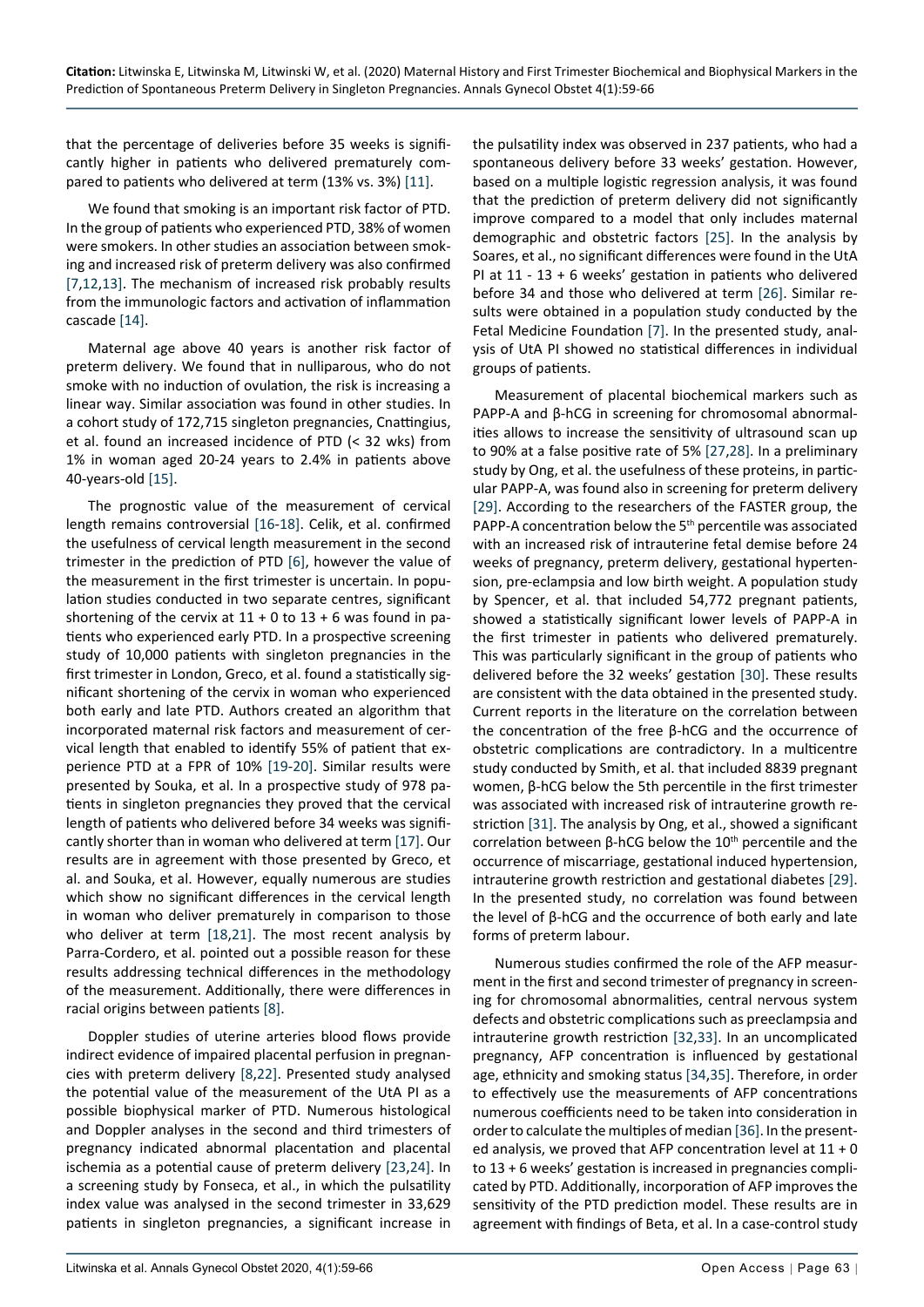that the percentage of deliveries before 35 weeks is significantly higher in patients who delivered prematurely compared to patients who delivered at term (13% vs. 3%) [[11](#page-7-17)].

We found that smoking is an important risk factor of PTD. In the group of patients who experienced PTD, 38% of women were smokers. In other studies an association between smoking and increased risk of preterm delivery was also confirmed [[7](#page-7-1),[12](#page-7-18),[13\]](#page-7-19). The mechanism of increased risk probably results from the immunologic factors and activation of inflammation cascade [\[14](#page-7-20)].

Maternal age above 40 years is another risk factor of preterm delivery. We found that in nulliparous, who do not smoke with no induction of ovulation, the risk is increasing a linear way. Similar association was found in other studies. In a cohort study of 172,715 singleton pregnancies, Cnattingius, et al. found an increased incidence of PTD (< 32 wks) from 1% in woman aged 20-24 years to 2.4% in patients above 40-years-old [[15\]](#page-7-21).

The prognostic value of the measurement of cervical length remains controversial [\[16](#page-7-22)-[18](#page-7-23)]. Celik, et al. confirmed the usefulness of cervical length measurement in the second trimester in the prediction of PTD [[6\]](#page-7-0), however the value of the measurement in the first trimester is uncertain. In population studies conducted in two separate centres, significant shortening of the cervix at  $11 + 0$  to  $13 + 6$  was found in patients who experienced early PTD. In a prospective screening study of 10,000 patients with singleton pregnancies in the first trimester in London, Greco, et al. found a statistically significant shortening of the cervix in woman who experienced both early and late PTD. Authors created an algorithm that incorporated maternal risk factors and measurement of cervical length that enabled to identify 55% of patient that experience PTD at a FPR of 10% [[19](#page-7-24)-[20\]](#page-7-25). Similar results were presented by Souka, et al. In a prospective study of 978 patients in singleton pregnancies they proved that the cervical length of patients who delivered before 34 weeks was significantly shorter than in woman who delivered at term [[17\]](#page-7-26). Our results are in agreement with those presented by Greco, et al. and Souka, et al. However, equally numerous are studies which show no significant differences in the cervical length in woman who deliver prematurely in comparison to those who deliver at term [[18](#page-7-23),[21](#page-7-27)]. The most recent analysis by Parra-Cordero, et al. pointed out a possible reason for these results addressing technical differences in the methodology of the measurement. Additionally, there were differences in racial origins between patients [[8\]](#page-7-2).

Doppler studies of uterine arteries blood flows provide indirect evidence of impaired placental perfusion in pregnancies with preterm delivery [\[8](#page-7-2),[22\]](#page-7-28). Presented study analysed the potential value of the measurement of the UtA PI as a possible biophysical marker of PTD. Numerous histological and Doppler analyses in the second and third trimesters of pregnancy indicated abnormal placentation and placental ischemia as a potential cause of preterm delivery [[23](#page-7-29),[24](#page-7-30)]. In a screening study by Fonseca, et al., in which the pulsatility index value was analysed in the second trimester in 33,629 patients in singleton pregnancies, a significant increase in the pulsatility index was observed in 237 patients, who had a spontaneous delivery before 33 weeks' gestation. However, based on a multiple logistic regression analysis, it was found that the prediction of preterm delivery did not significantly improve compared to a model that only includes maternal demographic and obstetric factors [\[25\]](#page-7-5). In the analysis by Soares, et al., no significant differences were found in the UtA PI at 11 - 13 + 6 weeks' gestation in patients who delivered before 34 and those who delivered at term [[26\]](#page-7-6). Similar results were obtained in a population study conducted by the Fetal Medicine Foundation [\[7\]](#page-7-1). In the presented study, analysis of UtA PI showed no statistical differences in individual groups of patients.

Measurement of placental biochemical markers such as PAPP-A and β-hCG in screening for chromosomal abnormalities allows to increase the sensitivity of ultrasound scan up to 90% at a false positive rate of 5% [[27](#page-7-7),[28](#page-7-8)]. In a preliminary study by Ong, et al. the usefulness of these proteins, in particular PAPP-A, was found also in screening for preterm delivery [[29\]](#page-7-9). According to the researchers of the FASTER group, the PAPP-A concentration below the 5<sup>th</sup> percentile was associated with an increased risk of intrauterine fetal demise before 24 weeks of pregnancy, preterm delivery, gestational hypertension, pre-eclampsia and low birth weight. A population study by Spencer, et al. that included 54,772 pregnant patients, showed a statistically significant lower levels of PAPP-A in the first trimester in patients who delivered prematurely. This was particularly significant in the group of patients who delivered before the 32 weeks' gestation [\[30](#page-7-10)]. These results are consistent with the data obtained in the presented study. Current reports in the literature on the correlation between the concentration of the free β-hCG and the occurrence of obstetric complications are contradictory. In a multicentre study conducted by Smith, et al. that included 8839 pregnant women, β-hCG below the 5th percentile in the first trimester was associated with increased risk of intrauterine growth restriction [\[31](#page-7-11)]. The analysis by Ong, et al., showed a significant correlation between β-hCG below the  $10<sup>th</sup>$  percentile and the occurrence of miscarriage, gestational induced hypertension, intrauterine growth restriction and gestational diabetes [\[29](#page-7-9)]. In the presented study, no correlation was found between the level of β-hCG and the occurrence of both early and late forms of preterm labour.

Numerous studies confirmed the role of the AFP measurment in the first and second trimester of pregnancy in screening for chromosomal abnormalities, central nervous system defects and obstetric complications such as preeclampsia and intrauterine growth restriction [[32](#page-7-12),[33\]](#page-7-13). In an uncomplicated pregnancy, AFP concentration is influenced by gestational age, ethnicity and smoking status [\[34](#page-7-14),[35\]](#page-7-15). Therefore, in order to effectively use the measurements of AFP concentrations numerous coefficients need to be taken into consideration in order to calculate the multiples of median [[36\]](#page-7-16). In the presented analysis, we proved that AFP concentration level at  $11 + 0$ to 13 + 6 weeks' gestation is increased in pregnancies complicated by PTD. Additionally, incorporation of AFP improves the sensitivity of the PTD prediction model. These results are in agreement with findings of Beta, et al. In a case-control study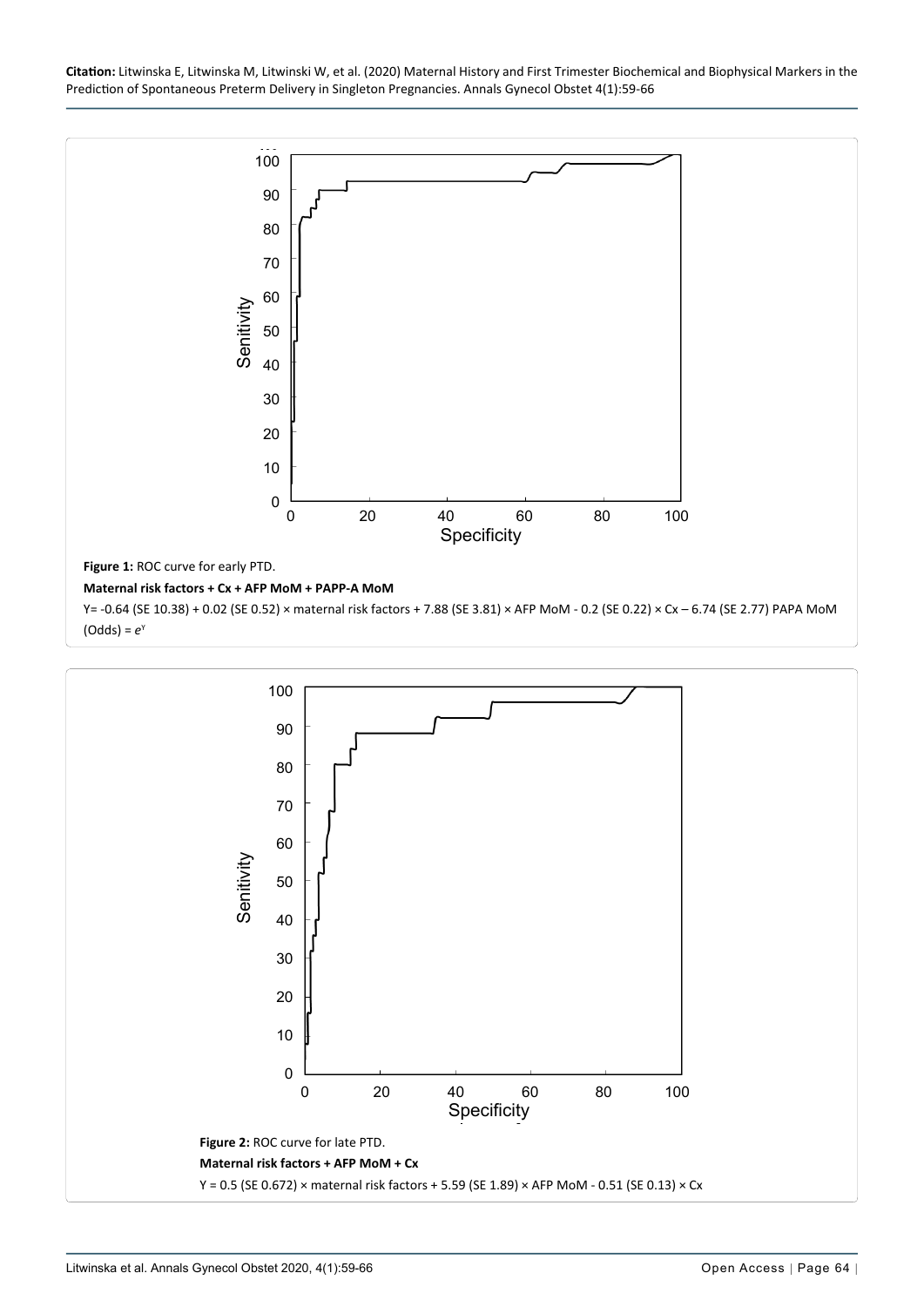**Citation:** Litwinska E, Litwinska M, Litwinski W, et al. (2020) Maternal History and First Trimester Biochemical and Biophysical Markers in the Prediction of Spontaneous Preterm Delivery in Singleton Pregnancies. Annals Gynecol Obstet 4(1):59-66

<span id="page-5-0"></span>

<span id="page-5-1"></span>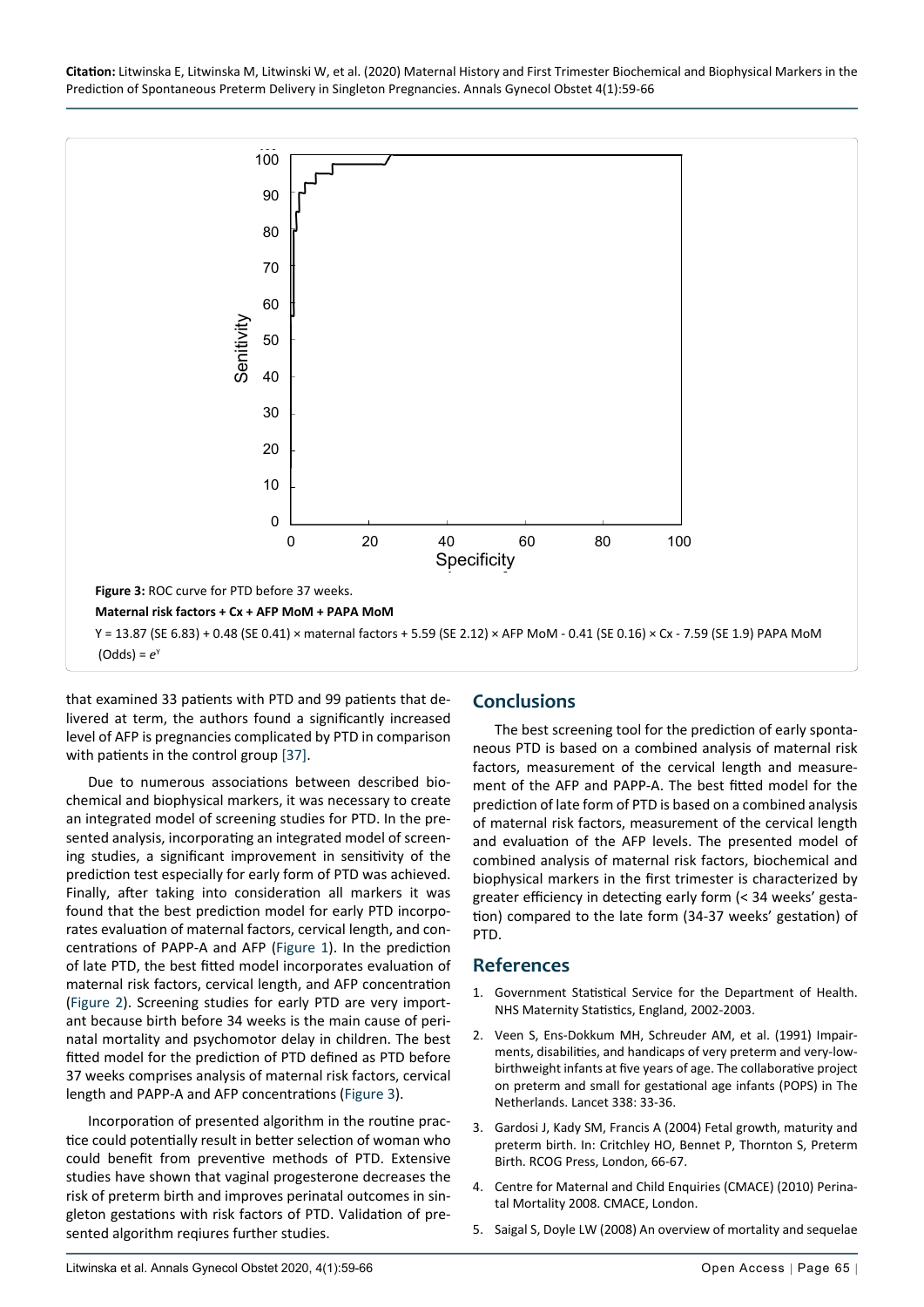<span id="page-6-5"></span>

that examined 33 patients with PTD and 99 patients that delivered at term, the authors found a significantly increased level of AFP is pregnancies complicated by PTD in comparison with patients in the control group [[37\]](#page-7-31).

Due to numerous associations between described biochemical and biophysical markers, it was necessary to create an integrated model of screening studies for PTD. In the presented analysis, incorporating an integrated model of screening studies, a significant improvement in sensitivity of the prediction test especially for early form of PTD was achieved. Finally, after taking into consideration all markers it was found that the best prediction model for early PTD incorporates evaluation of maternal factors, cervical length, and concentrations of PAPP-A and AFP [\(Figure 1\)](#page-5-0). In the prediction of late PTD, the best fitted model incorporates evaluation of maternal risk factors, cervical length, and AFP concentration ([Figure 2](#page-5-1)). Screening studies for early PTD are very important because birth before 34 weeks is the main cause of perinatal mortality and psychomotor delay in children. The best fitted model for the prediction of PTD defined as PTD before 37 weeks comprises analysis of maternal risk factors, cervical length and PAPP-A and AFP concentrations [\(Figure 3\)](#page-6-5).

Incorporation of presented algorithm in the routine practice could potentially result in better selection of woman who could benefit from preventive methods of PTD. Extensive studies have shown that vaginal progesterone decreases the risk of preterm birth and improves perinatal outcomes in singleton gestations with risk factors of PTD. Validation of presented algorithm reqiures further studies.

## **Conclusions**

The best screening tool for the prediction of early spontaneous PTD is based on a combined analysis of maternal risk factors, measurement of the cervical length and measurement of the AFP and PAPP-A. The best fitted model for the prediction of late form of PTD is based on a combined analysis of maternal risk factors, measurement of the cervical length and evaluation of the AFP levels. The presented model of combined analysis of maternal risk factors, biochemical and biophysical markers in the first trimester is characterized by greater efficiency in detecting early form (< 34 weeks' gestation) compared to the late form (34-37 weeks' gestation) of PTD.

#### **References**

- <span id="page-6-0"></span>1. [Government Statistical Service for the Department of Health.](http://image.guardian.co.uk/sys-files/Society/documents/2005/03/31/NHSmaternitystatistics.pdf)  [NHS Maternity Statistics, England, 2002-2003.](http://image.guardian.co.uk/sys-files/Society/documents/2005/03/31/NHSmaternitystatistics.pdf)
- <span id="page-6-1"></span>2. [Veen S, Ens-Dokkum MH, Schreuder AM, et al. \(1991\) Impair](https://pubmed.ncbi.nlm.nih.gov/1711644/)[ments, disabilities, and handicaps of very preterm and very-low](https://pubmed.ncbi.nlm.nih.gov/1711644/)[birthweight infants at five years of age. The collaborative project](https://pubmed.ncbi.nlm.nih.gov/1711644/)  [on preterm and small for gestational age infants \(POPS\) in The](https://pubmed.ncbi.nlm.nih.gov/1711644/)  [Netherlands. Lancet 338: 33-36.](https://pubmed.ncbi.nlm.nih.gov/1711644/)
- <span id="page-6-2"></span>3. Gardosi J, Kady SM, Francis A (2004) Fetal growth, maturity and preterm birth. In: Critchley HO, Bennet P, Thornton S, Preterm Birth. RCOG Press, London, 66-67.
- <span id="page-6-3"></span>4. [Centre for Maternal and Child Enquiries \(CMACE\) \(2010\) Perina](https://www.publichealth.hscni.net/sites/default/files/Perinatal Mortality 2008.pdf)[tal Mortality 2008. CMACE, London.](https://www.publichealth.hscni.net/sites/default/files/Perinatal Mortality 2008.pdf)
- <span id="page-6-4"></span>5. [Saigal S, Doyle LW \(2008\) An overview of mortality and sequelae](https://www.thelancet.com/article/S0140-6736(08)60136-1/fulltext)